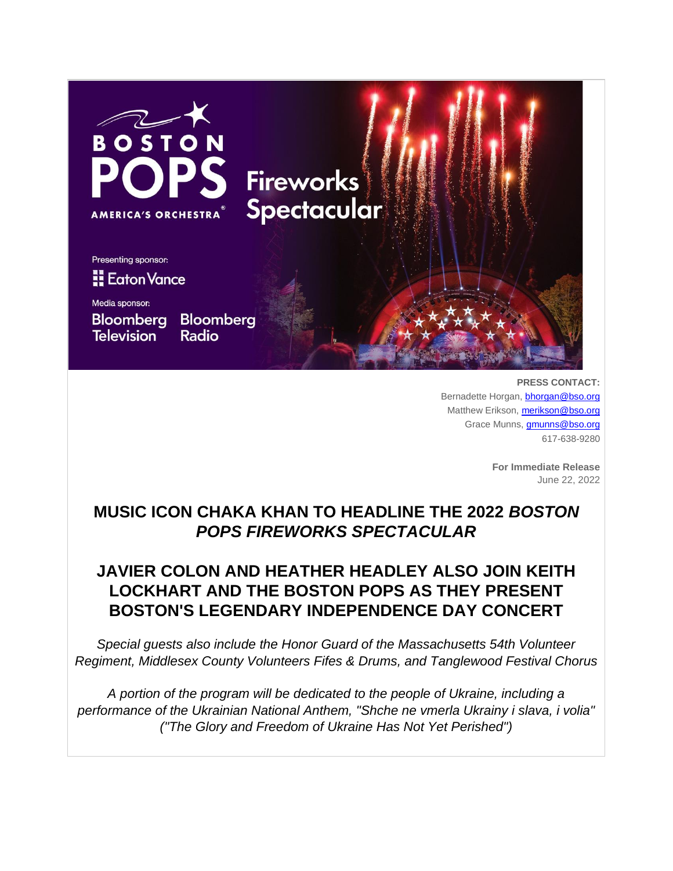

**PRESS CONTACT:** Bernadette Horgan, **[bhorgan@bso.org](mailto:bhorgan@bso.org)** Matthew Erikson, [merikson@bso.org](mailto:merikson@bso.org) Grace Munns, [gmunns@bso.org](mailto:gmunns@bso.org) 617-638-9280

> **For Immediate Release** June 22, 2022

# **MUSIC ICON CHAKA KHAN TO HEADLINE THE 2022** *BOSTON POPS FIREWORKS SPECTACULAR*

# **JAVIER COLON AND HEATHER HEADLEY ALSO JOIN KEITH LOCKHART AND THE BOSTON POPS AS THEY PRESENT BOSTON'S LEGENDARY INDEPENDENCE DAY CONCERT**

*Special guests also include the Honor Guard of the Massachusetts 54th Volunteer Regiment, Middlesex County Volunteers Fifes & Drums, and Tanglewood Festival Chorus*

*A portion of the program will be dedicated to the people of Ukraine, including a performance of the Ukrainian National Anthem, "Shche ne vmerla Ukrainy i slava, i volia" ("The Glory and Freedom of Ukraine Has Not Yet Perished")*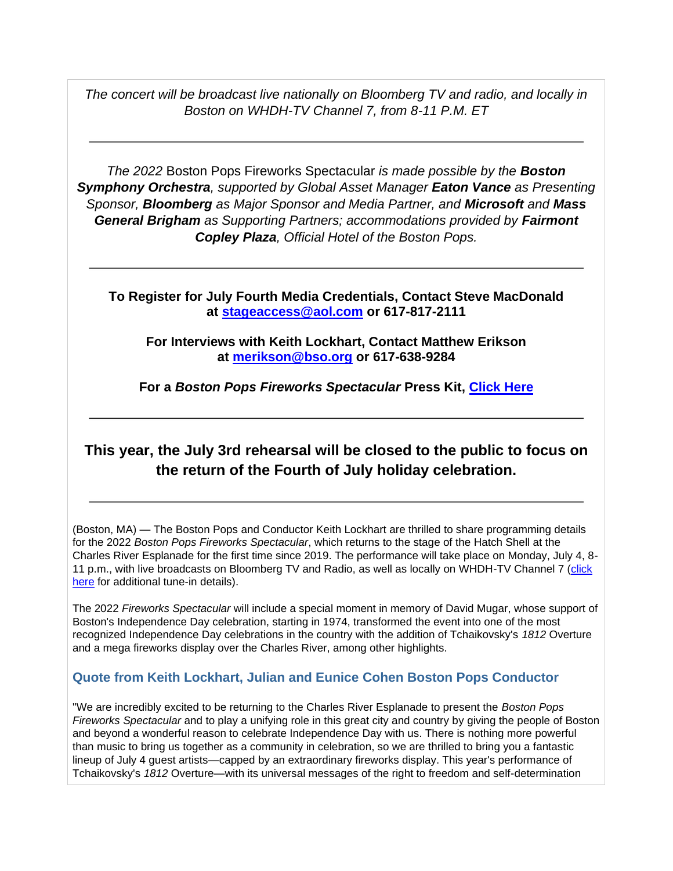*The concert will be broadcast live nationally on Bloomberg TV and radio, and locally in Boston on WHDH-TV Channel 7, from 8-11 P.M. ET*

*The 2022* Boston Pops Fireworks Spectacular *is made possible by the Boston Symphony Orchestra, supported by Global Asset Manager Eaton Vance as Presenting Sponsor, Bloomberg as Major Sponsor and Media Partner, and Microsoft and Mass General Brigham as Supporting Partners; accommodations provided by Fairmont Copley Plaza, Official Hotel of the Boston Pops.*

**To Register for July Fourth Media Credentials, Contact Steve MacDonald at [stageaccess@aol.com](mailto:stageaccess@aol.com) or 617-817-2111**

**For Interviews with Keith Lockhart, Contact Matthew Erikson at [merikson@bso.org](mailto:merikson@bso.org) or 617-638-9284**

**For a** *Boston Pops Fireworks Spectacular* **Press Kit, [Click Here](https://app.box.com/s/zi5l86qh01dakwnokljd8pocofm7ntez)**

### **This year, the July 3rd rehearsal will be closed to the public to focus on the return of the Fourth of July holiday celebration.**

(Boston, MA) — The Boston Pops and Conductor Keith Lockhart are thrilled to share programming details for the 2022 *Boston Pops Fireworks Spectacular*, which returns to the stage of the Hatch Shell at the Charles River Esplanade for the first time since 2019. The performance will take place on Monday, July 4, 8- 11 p.m., with live broadcasts on Bloomberg TV and Radio, as well as locally on WHDH-TV Channel 7 [\(click](https://app.box.com/s/d35atsjn4bcmp8tilomqucqthgqlulh9)  [here](https://app.box.com/s/d35atsjn4bcmp8tilomqucqthgqlulh9) for additional tune-in details).

The 2022 *Fireworks Spectacular* will include a special moment in memory of David Mugar, whose support of Boston's Independence Day celebration, starting in 1974, transformed the event into one of the most recognized Independence Day celebrations in the country with the addition of Tchaikovsky's *1812* Overture and a mega fireworks display over the Charles River, among other highlights.

### **Quote from Keith Lockhart, Julian and Eunice Cohen Boston Pops Conductor**

"We are incredibly excited to be returning to the Charles River Esplanade to present the *Boston Pops Fireworks Spectacular* and to play a unifying role in this great city and country by giving the people of Boston and beyond a wonderful reason to celebrate Independence Day with us. There is nothing more powerful than music to bring us together as a community in celebration, so we are thrilled to bring you a fantastic lineup of July 4 guest artists—capped by an extraordinary fireworks display. This year's performance of Tchaikovsky's *1812* Overture—with its universal messages of the right to freedom and self-determination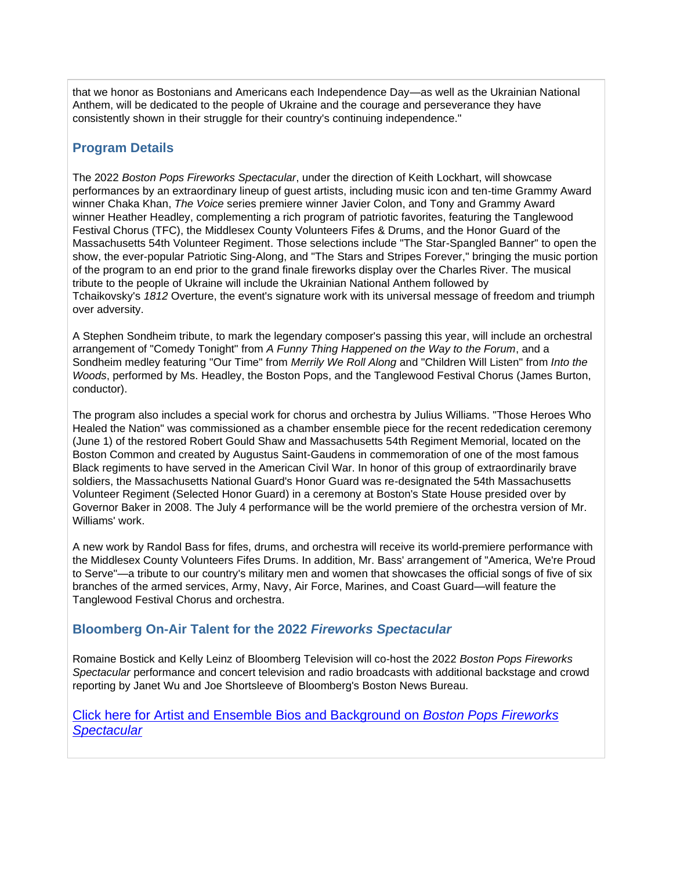that we honor as Bostonians and Americans each Independence Day—as well as the Ukrainian National Anthem, will be dedicated to the people of Ukraine and the courage and perseverance they have consistently shown in their struggle for their country's continuing independence."

### **Program Details**

The 2022 *Boston Pops Fireworks Spectacular*, under the direction of Keith Lockhart, will showcase performances by an extraordinary lineup of guest artists, including music icon and ten-time Grammy Award winner Chaka Khan, *The Voice* series premiere winner Javier Colon, and Tony and Grammy Award winner Heather Headley, complementing a rich program of patriotic favorites, featuring the Tanglewood Festival Chorus (TFC), the Middlesex County Volunteers Fifes & Drums, and the Honor Guard of the Massachusetts 54th Volunteer Regiment. Those selections include "The Star-Spangled Banner" to open the show, the ever-popular Patriotic Sing-Along, and "The Stars and Stripes Forever," bringing the music portion of the program to an end prior to the grand finale fireworks display over the Charles River. The musical tribute to the people of Ukraine will include the Ukrainian National Anthem followed by Tchaikovsky's *1812* Overture, the event's signature work with its universal message of freedom and triumph over adversity.

A Stephen Sondheim tribute, to mark the legendary composer's passing this year, will include an orchestral arrangement of "Comedy Tonight" from *A Funny Thing Happened on the Way to the Forum*, and a Sondheim medley featuring "Our Time" from *Merrily We Roll Along* and "Children Will Listen" from *Into the Woods*, performed by Ms. Headley, the Boston Pops, and the Tanglewood Festival Chorus (James Burton, conductor).

The program also includes a special work for chorus and orchestra by Julius Williams. "Those Heroes Who Healed the Nation" was commissioned as a chamber ensemble piece for the recent rededication ceremony (June 1) of the restored Robert Gould Shaw and Massachusetts 54th Regiment Memorial, located on the Boston Common and created by Augustus Saint-Gaudens in commemoration of one of the most famous Black regiments to have served in the American Civil War. In honor of this group of extraordinarily brave soldiers, the Massachusetts National Guard's Honor Guard was re-designated the 54th Massachusetts Volunteer Regiment (Selected Honor Guard) in a ceremony at Boston's State House presided over by Governor Baker in 2008. The July 4 performance will be the world premiere of the orchestra version of Mr. Williams' work.

A new work by Randol Bass for fifes, drums, and orchestra will receive its world-premiere performance with the Middlesex County Volunteers Fifes Drums. In addition, Mr. Bass' arrangement of "America, We're Proud to Serve"—a tribute to our country's military men and women that showcases the official songs of five of six branches of the armed services, Army, Navy, Air Force, Marines, and Coast Guard—will feature the Tanglewood Festival Chorus and orchestra.

### **Bloomberg On-Air Talent for the 2022** *Fireworks Spectacular*

Romaine Bostick and Kelly Leinz of Bloomberg Television will co-host the 2022 *Boston Pops Fireworks Spectacular* performance and concert television and radio broadcasts with additional backstage and crowd reporting by Janet Wu and Joe Shortsleeve of Bloomberg's Boston News Bureau.

### [Click here for Artist and Ensemble Bios and Background on](https://app.box.com/s/2d1557ub8udevgsv7zfq34y4n8is4re2) *Boston Pops Fireworks [Spectacular](https://app.box.com/s/2d1557ub8udevgsv7zfq34y4n8is4re2)*